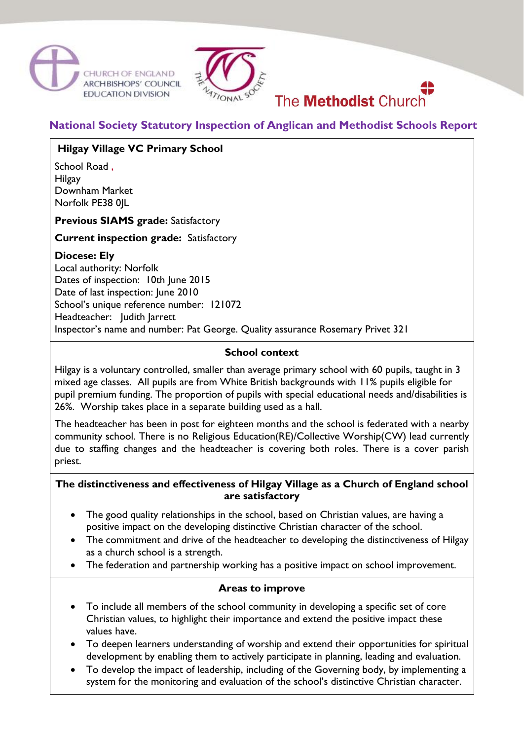



# **National Society Statutory Inspection of Anglican and Methodist Schools Report**

The **Methodist** Church

# **Hilgay Village VC Primary School**

School Road, Hilgay Downham Market Norfolk PE38 0|L

**Previous SIAMS grade:** Satisfactory

#### **Current inspection grade:** Satisfactory

# **Diocese: Ely**

Local authority: Norfolk Dates of inspection: 10th June 2015 Date of last inspection: June 2010 School's unique reference number: 121072 Headteacher: Judith Jarrett Inspector's name and number: Pat George. Quality assurance Rosemary Privet 321

## **School context**

Hilgay is a voluntary controlled, smaller than average primary school with 60 pupils, taught in 3 mixed age classes. All pupils are from White British backgrounds with 11% pupils eligible for pupil premium funding. The proportion of pupils with special educational needs and/disabilities is 26%. Worship takes place in a separate building used as a hall.

The headteacher has been in post for eighteen months and the school is federated with a nearby community school. There is no Religious Education(RE)/Collective Worship(CW) lead currently due to staffing changes and the headteacher is covering both roles. There is a cover parish priest.

## **The distinctiveness and effectiveness of Hilgay Village as a Church of England school are satisfactory**

- The good quality relationships in the school, based on Christian values, are having a positive impact on the developing distinctive Christian character of the school.
- The commitment and drive of the headteacher to developing the distinctiveness of Hilgay as a church school is a strength.
- The federation and partnership working has a positive impact on school improvement.

#### **Areas to improve**

- To include all members of the school community in developing a specific set of core Christian values, to highlight their importance and extend the positive impact these values have.
- To deepen learners understanding of worship and extend their opportunities for spiritual development by enabling them to actively participate in planning, leading and evaluation.
- To develop the impact of leadership, including of the Governing body, by implementing a system for the monitoring and evaluation of the school's distinctive Christian character.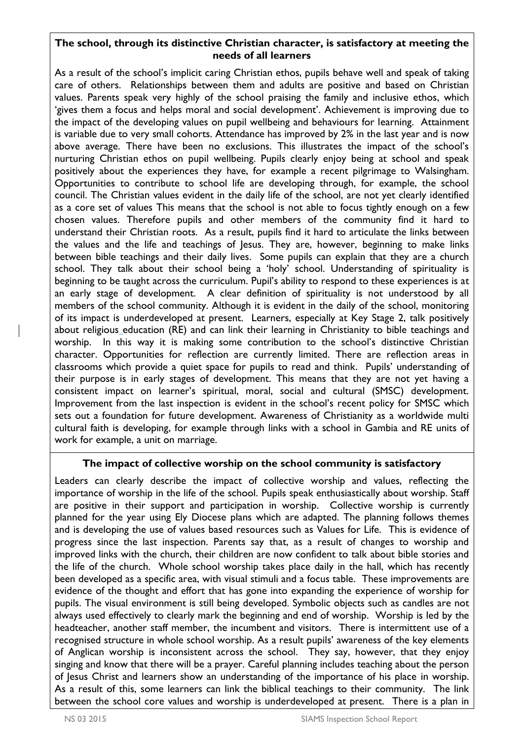## **The school, through its distinctive Christian character, is satisfactory at meeting the needs of all learners**

As a result of the school's implicit caring Christian ethos, pupils behave well and speak of taking care of others. Relationships between them and adults are positive and based on Christian values. Parents speak very highly of the school praising the family and inclusive ethos, which 'gives them a focus and helps moral and social development'. Achievement is improving due to the impact of the developing values on pupil wellbeing and behaviours for learning. Attainment is variable due to very small cohorts. Attendance has improved by 2% in the last year and is now above average. There have been no exclusions. This illustrates the impact of the school's nurturing Christian ethos on pupil wellbeing. Pupils clearly enjoy being at school and speak positively about the experiences they have, for example a recent pilgrimage to Walsingham. Opportunities to contribute to school life are developing through, for example, the school council. The Christian values evident in the daily life of the school, are not yet clearly identified as a core set of values This means that the school is not able to focus tightly enough on a few chosen values. Therefore pupils and other members of the community find it hard to understand their Christian roots. As a result, pupils find it hard to articulate the links between the values and the life and teachings of Jesus. They are, however, beginning to make links between bible teachings and their daily lives. Some pupils can explain that they are a church school. They talk about their school being a 'holy' school. Understanding of spirituality is beginning to be taught across the curriculum. Pupil's ability to respond to these experiences is at an early stage of development. A clear definition of spirituality is not understood by all members of the school community. Although it is evident in the daily of the school, monitoring of its impact is underdeveloped at present. Learners, especially at Key Stage 2, talk positively about religious education (RE) and can link their learning in Christianity to bible teachings and worship. In this way it is making some contribution to the school's distinctive Christian character. Opportunities for reflection are currently limited. There are reflection areas in classrooms which provide a quiet space for pupils to read and think. Pupils' understanding of their purpose is in early stages of development. This means that they are not yet having a consistent impact on learner's spiritual, moral, social and cultural (SMSC) development. Improvement from the last inspection is evident in the school's recent policy for SMSC which sets out a foundation for future development. Awareness of Christianity as a worldwide multi cultural faith is developing, for example through links with a school in Gambia and RE units of work for example, a unit on marriage.

## **The impact of collective worship on the school community is satisfactory**

Leaders can clearly describe the impact of collective worship and values, reflecting the importance of worship in the life of the school. Pupils speak enthusiastically about worship. Staff are positive in their support and participation in worship. Collective worship is currently planned for the year using Ely Diocese plans which are adapted. The planning follows themes and is developing the use of values based resources such as Values for Life. This is evidence of progress since the last inspection. Parents say that, as a result of changes to worship and improved links with the church, their children are now confident to talk about bible stories and the life of the church. Whole school worship takes place daily in the hall, which has recently been developed as a specific area, with visual stimuli and a focus table. These improvements are evidence of the thought and effort that has gone into expanding the experience of worship for pupils. The visual environment is still being developed. Symbolic objects such as candles are not always used effectively to clearly mark the beginning and end of worship. Worship is led by the headteacher, another staff member, the incumbent and visitors. There is intermittent use of a recognised structure in whole school worship. As a result pupils' awareness of the key elements of Anglican worship is inconsistent across the school. They say, however, that they enjoy singing and know that there will be a prayer. Careful planning includes teaching about the person of Jesus Christ and learners show an understanding of the importance of his place in worship. As a result of this, some learners can link the biblical teachings to their community. The link between the school core values and worship is underdeveloped at present. There is a plan in